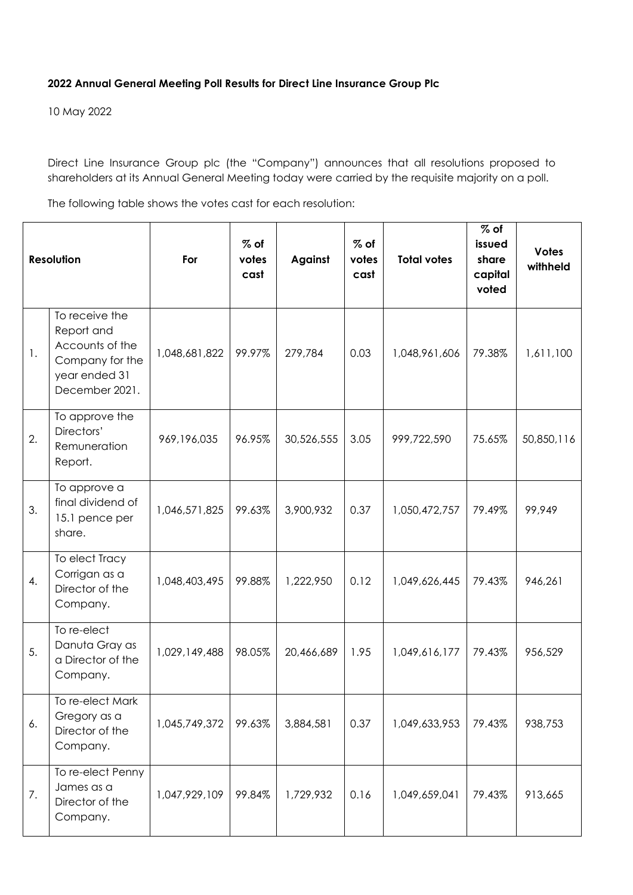## **2022 Annual General Meeting Poll Results for Direct Line Insurance Group Plc**

10 May 2022

Direct Line Insurance Group plc (the "Company") announces that all resolutions proposed to shareholders at its Annual General Meeting today were carried by the requisite majority on a poll.

The following table shows the votes cast for each resolution:

| <b>Resolution</b> |                                                                                                       | For           | $%$ of<br>votes<br>cast | Against    | $%$ of<br>votes<br>cast | <b>Total votes</b> | $%$ of<br>issued<br>share<br>capital<br>voted | <b>Votes</b><br>withheld |
|-------------------|-------------------------------------------------------------------------------------------------------|---------------|-------------------------|------------|-------------------------|--------------------|-----------------------------------------------|--------------------------|
| 1.                | To receive the<br>Report and<br>Accounts of the<br>Company for the<br>year ended 31<br>December 2021. | 1,048,681,822 | 99.97%                  | 279,784    | 0.03                    | 1,048,961,606      | 79.38%                                        | 1,611,100                |
| 2.                | To approve the<br>Directors'<br>Remuneration<br>Report.                                               | 969, 196, 035 | 96.95%                  | 30,526,555 | 3.05                    | 999,722,590        | 75.65%                                        | 50,850,116               |
| 3.                | To approve a<br>final dividend of<br>15.1 pence per<br>share.                                         | 1,046,571,825 | 99.63%                  | 3,900,932  | 0.37                    | 1,050,472,757      | 79.49%                                        | 99,949                   |
| 4.                | To elect Tracy<br>Corrigan as a<br>Director of the<br>Company.                                        | 1,048,403,495 | 99.88%                  | 1,222,950  | 0.12                    | 1,049,626,445      | 79.43%                                        | 946,261                  |
| 5.                | To re-elect<br>Danuta Gray as<br>a Director of the<br>Company.                                        | 1,029,149,488 | 98.05%                  | 20,466,689 | 1.95                    | 1,049,616,177      | 79.43%                                        | 956,529                  |
| 6.                | To re-elect Mark<br>Gregory as a<br>Director of the<br>Company.                                       | 1,045,749,372 | 99.63%                  | 3,884,581  | 0.37                    | 1,049,633,953      | 79.43%                                        | 938,753                  |
| 7.                | To re-elect Penny<br>James as a<br>Director of the<br>Company.                                        | 1,047,929,109 | 99.84%                  | 1,729,932  | 0.16                    | 1,049,659,041      | 79.43%                                        | 913,665                  |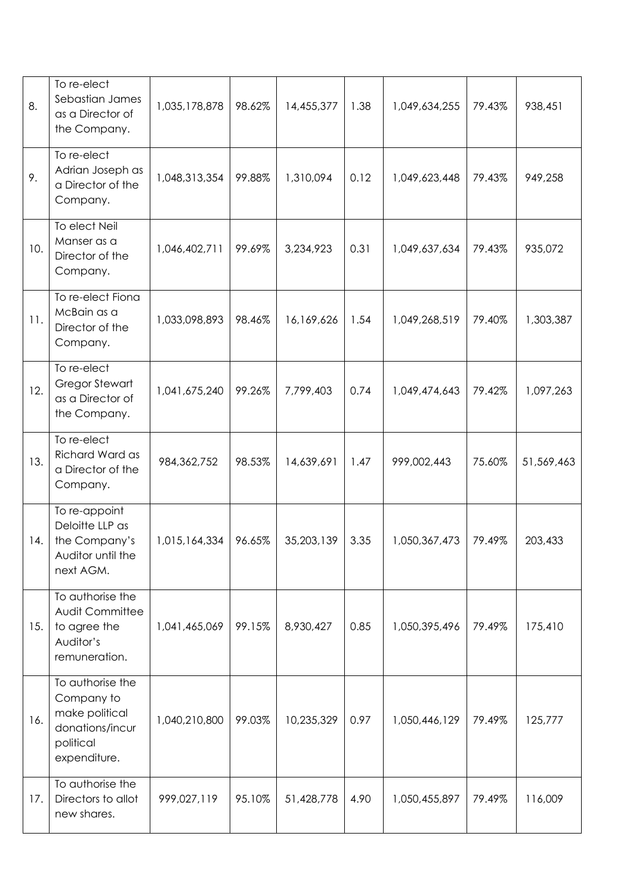| 8.  | To re-elect<br>Sebastian James<br>as a Director of<br>the Company.                               | 1,035,178,878 | 98.62% | 14,455,377 | 1.38 | 1,049,634,255 | 79.43% | 938,451    |
|-----|--------------------------------------------------------------------------------------------------|---------------|--------|------------|------|---------------|--------|------------|
| 9.  | To re-elect<br>Adrian Joseph as<br>a Director of the<br>Company.                                 | 1,048,313,354 | 99.88% | 1,310,094  | 0.12 | 1,049,623,448 | 79.43% | 949,258    |
| 10. | To elect Neil<br>Manser as a<br>Director of the<br>Company.                                      | 1,046,402,711 | 99.69% | 3,234,923  | 0.31 | 1,049,637,634 | 79.43% | 935,072    |
| 11. | To re-elect Fiona<br>McBain as a<br>Director of the<br>Company.                                  | 1,033,098,893 | 98.46% | 16,169,626 | 1.54 | 1,049,268,519 | 79.40% | 1,303,387  |
| 12. | To re-elect<br><b>Gregor Stewart</b><br>as a Director of<br>the Company.                         | 1,041,675,240 | 99.26% | 7,799,403  | 0.74 | 1,049,474,643 | 79.42% | 1,097,263  |
| 13. | To re-elect<br>Richard Ward as<br>a Director of the<br>Company.                                  | 984, 362, 752 | 98.53% | 14,639,691 | 1.47 | 999,002,443   | 75.60% | 51,569,463 |
| 14. | To re-appoint<br>Deloitte LLP as<br>the Company's<br>Auditor until the<br>next AGM.              | 1,015,164,334 | 96.65% | 35,203,139 | 3.35 | 1,050,367,473 | 79.49% | 203,433    |
| 15. | To authorise the<br>Audit Committee<br>to agree the<br>Auditor's<br>remuneration.                | 1,041,465,069 | 99.15% | 8,930,427  | 0.85 | 1,050,395,496 | 79.49% | 175,410    |
| 16. | To authorise the<br>Company to<br>make political<br>donations/incur<br>political<br>expenditure. | 1,040,210,800 | 99.03% | 10,235,329 | 0.97 | 1,050,446,129 | 79.49% | 125,777    |
| 17. | To authorise the<br>Directors to allot<br>new shares.                                            | 999,027,119   | 95.10% | 51,428,778 | 4.90 | 1,050,455,897 | 79.49% | 116,009    |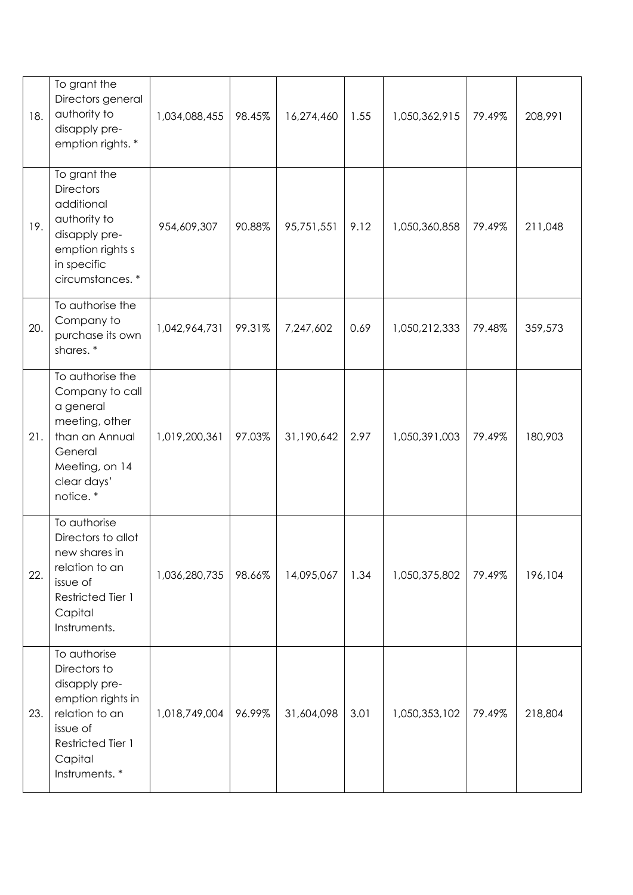| 18. | To grant the<br>Directors general<br>authority to<br>disapply pre-<br>emption rights. *                                                           | 1,034,088,455 | 98.45% | 16,274,460 | 1.55 | 1,050,362,915 | 79.49% | 208,991 |
|-----|---------------------------------------------------------------------------------------------------------------------------------------------------|---------------|--------|------------|------|---------------|--------|---------|
| 19. | To grant the<br><b>Directors</b><br>additional<br>authority to<br>disapply pre-<br>emption rights s<br>in specific<br>circumstances.*             | 954,609,307   | 90.88% | 95,751,551 | 9.12 | 1,050,360,858 | 79.49% | 211,048 |
| 20. | To authorise the<br>Company to<br>purchase its own<br>shares.*                                                                                    | 1,042,964,731 | 99.31% | 7,247,602  | 0.69 | 1,050,212,333 | 79.48% | 359,573 |
| 21. | To authorise the<br>Company to call<br>a general<br>meeting, other<br>than an Annual<br>General<br>Meeting, on 14<br>clear days'<br>notice.*      | 1,019,200,361 | 97.03% | 31,190,642 | 2.97 | 1,050,391,003 | 79.49% | 180,903 |
| 22. | To authorise<br>Directors to allot<br>new shares in<br>relation to an<br>issue of<br>Restricted Tier 1<br>Capital<br>Instruments.                 | 1,036,280,735 | 98.66% | 14,095,067 | 1.34 | 1,050,375,802 | 79.49% | 196,104 |
| 23. | To authorise<br>Directors to<br>disapply pre-<br>emption rights in<br>relation to an<br>issue of<br>Restricted Tier 1<br>Capital<br>Instruments.* | 1,018,749,004 | 96.99% | 31,604,098 | 3.01 | 1,050,353,102 | 79.49% | 218,804 |